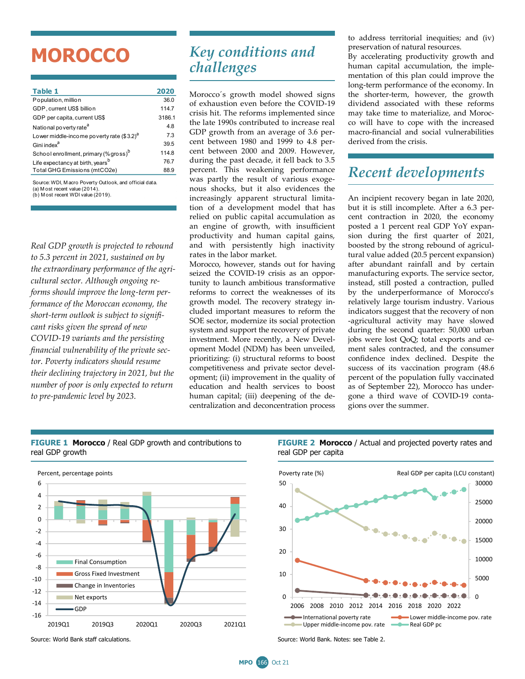## **MOROCCO**

| <b>Table 1</b>                                    | 2020   |
|---------------------------------------------------|--------|
| Population, million                               | 36.0   |
| GDP, current US\$ billion                         | 114.7  |
| GDP per capita, current US\$                      | 3186.1 |
| National poverty rate <sup>a</sup>                | 4.8    |
| Lower middle-income poverty rate $(33.2)^d$       | 7.3    |
| Gini index <sup>a</sup>                           | 39.5   |
| School enrollment, primary (% gross) <sup>b</sup> | 114.8  |
| Life expectancy at birth, years <sup>b</sup>      | 76.7   |
| Total GHG Emissions (mtCO2e)                      | 88.9   |
|                                                   |        |

(b) M ost recent WDI value (2019). Source: WDI, M acro Poverty Outlook, and official data. (a) M ost recent value  $(2014)$ .

*Real GDP growth is projected to rebound to 5.3 percent in 2021, sustained on by the extraordinary performance of the agricultural sector. Although ongoing reforms should improve the long-term performance of the Moroccan economy, the short-term outlook is subject to significant risks given the spread of new COVID-19 variants and the persisting financial vulnerability of the private sector. Poverty indicators should resume their declining trajectory in 2021, but the number of poor is only expected to return to pre-pandemic level by 2023.*

## *Key conditions and challenges*

Morocco´s growth model showed signs of exhaustion even before the COVID-19 crisis hit. The reforms implemented since the late 1990s contributed to increase real GDP growth from an average of 3.6 percent between 1980 and 1999 to 4.8 percent between 2000 and 2009. However, during the past decade, it fell back to 3.5 percent. This weakening performance was partly the result of various exogenous shocks, but it also evidences the increasingly apparent structural limitation of a development model that has relied on public capital accumulation as an engine of growth, with insufficient productivity and human capital gains, and with persistently high inactivity rates in the labor market.

Morocco, however, stands out for having seized the COVID-19 crisis as an opportunity to launch ambitious transformative reforms to correct the weaknesses of its growth model. The recovery strategy included important measures to reform the SOE sector, modernize its social protection system and support the recovery of private investment. More recently, a New Development Model (NDM) has been unveiled, prioritizing: (i) structural reforms to boost competitiveness and private sector development; (ii) improvement in the quality of education and health services to boost human capital; (iii) deepening of the decentralization and deconcentration process

to address territorial inequities; and (iv) preservation of natural resources.

By accelerating productivity growth and human capital accumulation, the implementation of this plan could improve the long-term performance of the economy. In the shorter-term, however, the growth dividend associated with these reforms may take time to materialize, and Morocco will have to cope with the increased macro-financial and social vulnerabilities derived from the crisis.

## *Recent developments*

An incipient recovery began in late 2020, but it is still incomplete. After a 6.3 percent contraction in 2020, the economy posted a 1 percent real GDP YoY expansion during the first quarter of 2021, boosted by the strong rebound of agricultural value added (20.5 percent expansion) after abundant rainfall and by certain manufacturing exports. The service sector, instead, still posted a contraction, pulled by the underperformance of Morocco's relatively large tourism industry. Various indicators suggest that the recovery of non -agricultural activity may have slowed during the second quarter: 50,000 urban jobs were lost QoQ; total exports and cement sales contracted, and the consumer confidence index declined. Despite the success of its vaccination program (48.6 percent of the population fully vaccinated as of September 22), Morocco has undergone a third wave of COVID-19 contagions over the summer.



**FIGURE 1 Morocco** / Real GDP growth and contributions to **FIGURE 2 Morocco** / Actual and projected poverty rates and real GDP per capita



Source: World Bank staff calculations. Source: World Bank. Notes: see Table 2.